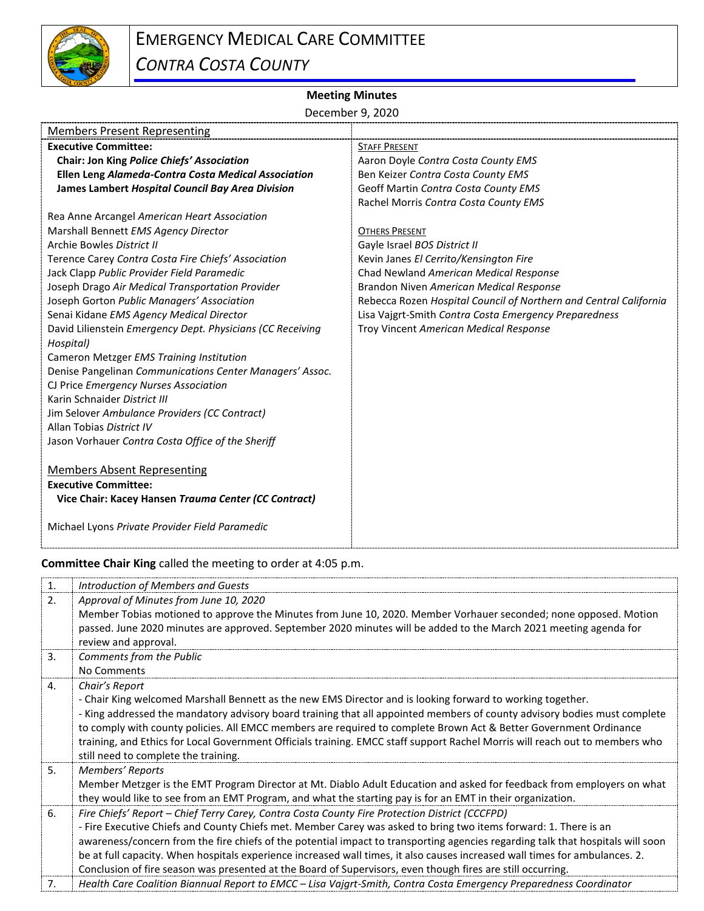

## **Meeting Minutes**

December 9, 2020

| <b>Members Present Representing</b>                        |                                                                   |
|------------------------------------------------------------|-------------------------------------------------------------------|
| <b>Executive Committee:</b>                                | <b>STAFF PRESENT</b>                                              |
| Chair: Jon King Police Chiefs' Association                 | Aaron Doyle Contra Costa County EMS                               |
| Ellen Leng Alameda-Contra Costa Medical Association        | Ben Keizer Contra Costa County EMS                                |
| James Lambert Hospital Council Bay Area Division           | Geoff Martin Contra Costa County EMS                              |
|                                                            | Rachel Morris Contra Costa County EMS                             |
| Rea Anne Arcangel American Heart Association               |                                                                   |
| Marshall Bennett EMS Agency Director                       | <b>OTHERS PRESENT</b>                                             |
| Archie Bowles District II                                  | Gayle Israel BOS District II                                      |
| Terence Carey Contra Costa Fire Chiefs' Association        | Kevin Janes El Cerrito/Kensington Fire                            |
| Jack Clapp Public Provider Field Paramedic                 | Chad Newland American Medical Response                            |
| Joseph Drago Air Medical Transportation Provider           | Brandon Niven American Medical Response                           |
| Joseph Gorton Public Managers' Association                 | Rebecca Rozen Hospital Council of Northern and Central California |
| Senai Kidane EMS Agency Medical Director                   | Lisa Vajgrt-Smith Contra Costa Emergency Preparedness             |
| David Lilienstein Emergency Dept. Physicians (CC Receiving | Troy Vincent American Medical Response                            |
| Hospital)                                                  |                                                                   |
| Cameron Metzger EMS Training Institution                   |                                                                   |
| Denise Pangelinan Communications Center Managers' Assoc.   |                                                                   |
| CJ Price Emergency Nurses Association                      |                                                                   |
| Karin Schnaider District III                               |                                                                   |
| Jim Selover Ambulance Providers (CC Contract)              |                                                                   |
| Allan Tobias District IV                                   |                                                                   |
| Jason Vorhauer Contra Costa Office of the Sheriff          |                                                                   |
|                                                            |                                                                   |
| <b>Members Absent Representing</b>                         |                                                                   |
| <b>Executive Committee:</b>                                |                                                                   |
| Vice Chair: Kacey Hansen Trauma Center (CC Contract)       |                                                                   |
| Michael Lyons Private Provider Field Paramedic             |                                                                   |
|                                                            |                                                                   |

**Committee Chair King** called the meeting to order at 4:05 p.m.

| 1.             | Introduction of Members and Guests                                                                                                                                                                                                                                                                                                                                                                                                                                                                                                                                                                  |
|----------------|-----------------------------------------------------------------------------------------------------------------------------------------------------------------------------------------------------------------------------------------------------------------------------------------------------------------------------------------------------------------------------------------------------------------------------------------------------------------------------------------------------------------------------------------------------------------------------------------------------|
| $\mathcal{L}$  | Approval of Minutes from June 10, 2020<br>Member Tobias motioned to approve the Minutes from June 10, 2020. Member Vorhauer seconded; none opposed. Motion<br>passed. June 2020 minutes are approved. September 2020 minutes will be added to the March 2021 meeting agenda for<br>review and approval.                                                                                                                                                                                                                                                                                             |
| 3.             | Comments from the Public<br>No Comments                                                                                                                                                                                                                                                                                                                                                                                                                                                                                                                                                             |
| 4.             | Chair's Report<br>- Chair King welcomed Marshall Bennett as the new EMS Director and is looking forward to working together.<br>- King addressed the mandatory advisory board training that all appointed members of county advisory bodies must complete<br>to comply with county policies. All EMCC members are required to complete Brown Act & Better Government Ordinance<br>training, and Ethics for Local Government Officials training. EMCC staff support Rachel Morris will reach out to members who<br>still need to complete the training.                                              |
| 5 <sub>1</sub> | Members' Reports<br>Member Metzger is the EMT Program Director at Mt. Diablo Adult Education and asked for feedback from employers on what<br>they would like to see from an EMT Program, and what the starting pay is for an EMT in their organization.                                                                                                                                                                                                                                                                                                                                            |
| 6.             | Fire Chiefs' Report - Chief Terry Carey, Contra Costa County Fire Protection District (CCCFPD)<br>- Fire Executive Chiefs and County Chiefs met. Member Carey was asked to bring two items forward: 1. There is an<br>awareness/concern from the fire chiefs of the potential impact to transporting agencies regarding talk that hospitals will soon<br>be at full capacity. When hospitals experience increased wall times, it also causes increased wall times for ambulances. 2.<br>Conclusion of fire season was presented at the Board of Supervisors, even though fires are still occurring. |
| 7.             | Health Care Coalition Biannual Report to EMCC - Lisa Vajgrt-Smith, Contra Costa Emergency Preparedness Coordinator                                                                                                                                                                                                                                                                                                                                                                                                                                                                                  |
|                |                                                                                                                                                                                                                                                                                                                                                                                                                                                                                                                                                                                                     |